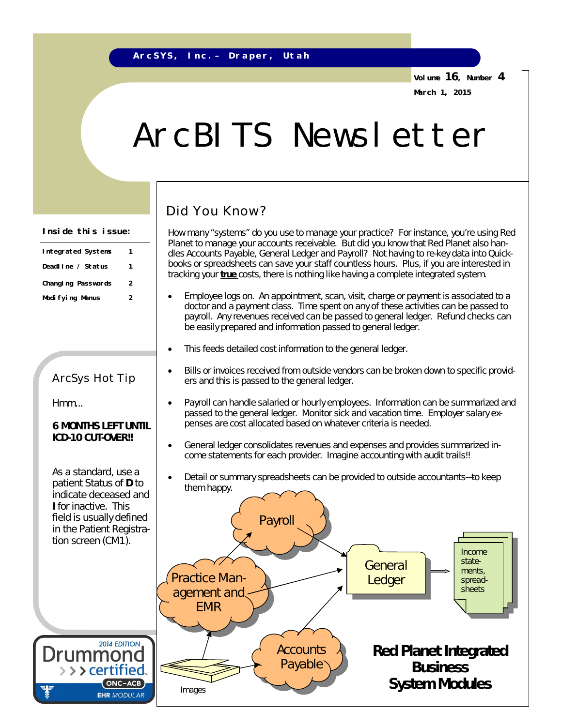**Volume 16, Number 4 March 1, 2015**

# ArcBITS Newsletter

## Did You Know?

How many "systems" do you use to manage your practice? For instance, you're using Red Planet to manage your accounts receivable. But did you know that Red Planet also handles Accounts Payable, General Ledger and Payroll? Not having to re-key data into Quickbooks or spreadsheets can save your staff countless hours. Plus, if you are interested in tracking your **true** costs, there is nothing like having a complete integrated system.

- Employee logs on. An appointment, scan, visit, charge or payment is associated to a doctor and a payment class. Time spent on any of these activities can be passed to payroll. Any revenues received can be passed to general ledger. Refund checks can be easily prepared and information passed to general ledger.
- This feeds detailed cost information to the general ledger.
- Bills or invoices received from outside vendors can be broken down to specific providers and this is passed to the general ledger.
- Payroll can handle salaried or hourly employees. Information can be summarized and passed to the general ledger. Monitor sick and vacation time. Employer salary expenses are cost allocated based on whatever criteria is needed.
- General ledger consolidates revenues and expenses and provides summarized income statements for each provider. *Imagine accounting with audit trails!!*
- Detail or summary spreadsheets can be provided to outside accountants—to keep them happy.



#### **Inside this issue:**

| Integrated Systems | 1 |
|--------------------|---|
| Deadline / Status  | 1 |
| Changing Passwords | 2 |
| Modi fying Menus   | 2 |

### ArcSys Hot Tip

Hmm...

#### **6 MONTHS LEFT UNTIL ICD-10 CUT-OVER!!**

As a standard, use a patient Status of **D** to indicate deceased and